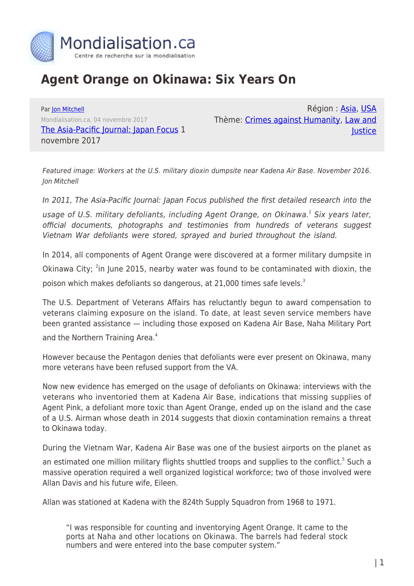

## **Agent Orange on Okinawa: Six Years On**

Par [Jon Mitchell](https://www.mondialisation.ca/author/jon-mitchell) Mondialisation.ca, 04 novembre 2017 [The Asia-Pacific Journal: Japan Focus](http://apjjf.org/2017/21/Mitchell.html) 1 novembre 2017

Région : [Asia,](https://www.mondialisation.ca/region/asia-as) [USA](https://www.mondialisation.ca/region/usa-as) Thème: [Crimes against Humanity](https://www.mondialisation.ca/theme/crimes-against-humanity-as), [Law and](https://www.mondialisation.ca/theme/law-and-justice-as) [Justice](https://www.mondialisation.ca/theme/law-and-justice-as)

Featured image: Workers at the U.S. military dioxin dumpsite near Kadena Air Base. November 2016. Jon Mitchell

In 2011, The Asia-Pacific Journal: Japan Focus published the first detailed research into the

usage of U.S. military defoliants, including Agent Orange, on Okinawa.1 Six years later, official documents, photographs and testimonies from hundreds of veterans suggest Vietnam War defoliants were stored, sprayed and buried throughout the island.

In 2014, all components of Agent Orange were discovered at a former military dumpsite in

Okinawa City; <sup>2</sup>in June 2015, nearby water was found to be contaminated with dioxin, the

poison which makes defoliants so dangerous, at 21,000 times safe levels.<sup>3</sup>

The U.S. Department of Veterans Affairs has reluctantly begun to award compensation to veterans claiming exposure on the island. To date, at least seven service members have been granted assistance — including those exposed on Kadena Air Base, Naha Military Port

and the Northern Training Area.<sup>4</sup>

However because the Pentagon denies that defoliants were ever present on Okinawa, many more veterans have been refused support from the VA.

Now new evidence has emerged on the usage of defoliants on Okinawa: interviews with the veterans who inventoried them at Kadena Air Base, indications that missing supplies of Agent Pink, a defoliant more toxic than Agent Orange, ended up on the island and the case of a U.S. Airman whose death in 2014 suggests that dioxin contamination remains a threat to Okinawa today.

During the Vietnam War, Kadena Air Base was one of the busiest airports on the planet as

an estimated one million military flights shuttled troops and supplies to the conflict.<sup>5</sup> Such a massive operation required a well organized logistical workforce; two of those involved were Allan Davis and his future wife, Eileen.

Allan was stationed at Kadena with the 824th Supply Squadron from 1968 to 1971.

"I was responsible for counting and inventorying Agent Orange. It came to the ports at Naha and other locations on Okinawa. The barrels had federal stock numbers and were entered into the base computer system."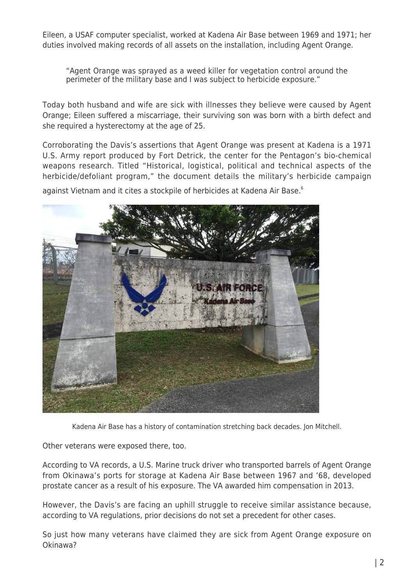Eileen, a USAF computer specialist, worked at Kadena Air Base between 1969 and 1971; her duties involved making records of all assets on the installation, including Agent Orange.

"Agent Orange was sprayed as a weed killer for vegetation control around the perimeter of the military base and I was subject to herbicide exposure."

Today both husband and wife are sick with illnesses they believe were caused by Agent Orange; Eileen suffered a miscarriage, their surviving son was born with a birth defect and she required a hysterectomy at the age of 25.

Corroborating the Davis's assertions that Agent Orange was present at Kadena is a 1971 U.S. Army report produced by Fort Detrick, the center for the Pentagon's bio-chemical weapons research. Titled "Historical, logistical, political and technical aspects of the herbicide/defoliant program," the document details the military's herbicide campaign

against Vietnam and it cites a stockpile of herbicides at Kadena Air Base.<sup>6</sup>



Kadena Air Base has a history of contamination stretching back decades. Jon Mitchell.

Other veterans were exposed there, too.

According to VA records, a U.S. Marine truck driver who transported barrels of Agent Orange from Okinawa's ports for storage at Kadena Air Base between 1967 and '68, developed prostate cancer as a result of his exposure. The VA awarded him compensation in 2013.

However, the Davis's are facing an uphill struggle to receive similar assistance because, according to VA regulations, prior decisions do not set a precedent for other cases.

So just how many veterans have claimed they are sick from Agent Orange exposure on Okinawa?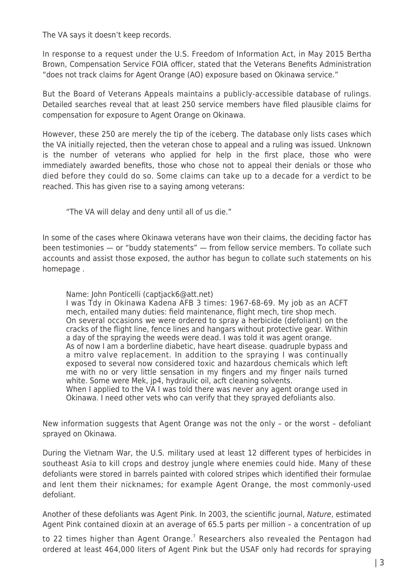The VA says it doesn't keep records.

In response to a request under the U.S. Freedom of Information Act, in May 2015 Bertha Brown, Compensation Service FOIA officer, stated that the Veterans Benefits Administration "does not track claims for Agent Orange (AO) exposure based on Okinawa service."

But the Board of Veterans Appeals maintains a publicly-accessible database of rulings. Detailed searches reveal that at least 250 service members have filed plausible claims for compensation for exposure to Agent Orange on Okinawa.

However, these 250 are merely the tip of the iceberg. The database only lists cases which the VA initially rejected, then the veteran chose to appeal and a ruling was issued. Unknown is the number of veterans who applied for help in the first place, those who were immediately awarded benefits, those who chose not to appeal their denials or those who died before they could do so. Some claims can take up to a decade for a verdict to be reached. This has given rise to a saying among veterans:

"The VA will delay and deny until all of us die."

In some of the cases where Okinawa veterans have won their claims, the deciding factor has been testimonies — or "buddy statements" — from fellow service members. To collate such accounts and assist those exposed, the author has begun to collate such statements on his homepage .

Name: John Ponticelli (captjack6@att.net)

I was Tdy in Okinawa Kadena AFB 3 times: 1967-68-69. My job as an ACFT mech, entailed many duties: field maintenance, flight mech, tire shop mech. On several occasions we were ordered to spray a herbicide (defoliant) on the cracks of the flight line, fence lines and hangars without protective gear. Within a day of the spraying the weeds were dead. I was told it was agent orange. As of now I am a borderline diabetic, have heart disease. quadruple bypass and a mitro valve replacement. In addition to the spraying I was continually exposed to several now considered toxic and hazardous chemicals which left me with no or very little sensation in my fingers and my finger nails turned white. Some were Mek, jp4, hydraulic oil, acft cleaning solvents. When I applied to the VA I was told there was never any agent orange used in Okinawa. I need other vets who can verify that they sprayed defoliants also.

New information suggests that Agent Orange was not the only – or the worst – defoliant sprayed on Okinawa.

During the Vietnam War, the U.S. military used at least 12 different types of herbicides in southeast Asia to kill crops and destroy jungle where enemies could hide. Many of these defoliants were stored in barrels painted with colored stripes which identified their formulae and lent them their nicknames; for example Agent Orange, the most commonly-used defoliant.

Another of these defoliants was Agent Pink. In 2003, the scientific journal, Nature, estimated Agent Pink contained dioxin at an average of 65.5 parts per million – a concentration of up

to 22 times higher than Agent Orange.<sup>7</sup> Researchers also revealed the Pentagon had ordered at least 464,000 liters of Agent Pink but the USAF only had records for spraying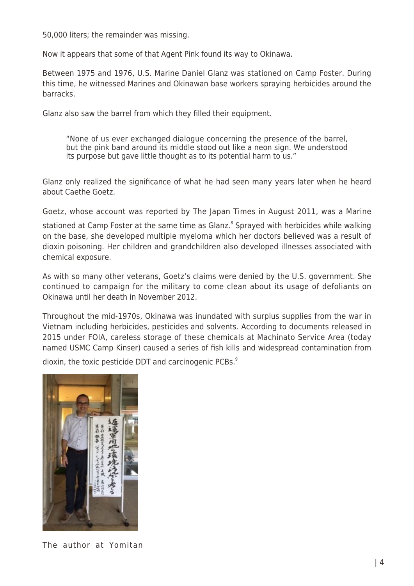50,000 liters; the remainder was missing.

Now it appears that some of that Agent Pink found its way to Okinawa.

Between 1975 and 1976, U.S. Marine Daniel Glanz was stationed on Camp Foster. During this time, he witnessed Marines and Okinawan base workers spraying herbicides around the barracks.

Glanz also saw the barrel from which they filled their equipment.

"None of us ever exchanged dialogue concerning the presence of the barrel, but the pink band around its middle stood out like a neon sign. We understood its purpose but gave little thought as to its potential harm to us."

Glanz only realized the significance of what he had seen many years later when he heard about Caethe Goetz.

Goetz, whose account was reported by The Japan Times in August 2011, was a Marine

stationed at Camp Foster at the same time as Glanz.<sup>8</sup> Sprayed with herbicides while walking on the base, she developed multiple myeloma which her doctors believed was a result of dioxin poisoning. Her children and grandchildren also developed illnesses associated with chemical exposure.

As with so many other veterans, Goetz's claims were denied by the U.S. government. She continued to campaign for the military to come clean about its usage of defoliants on Okinawa until her death in November 2012.

Throughout the mid-1970s, Okinawa was inundated with surplus supplies from the war in Vietnam including herbicides, pesticides and solvents. According to documents released in 2015 under FOIA, careless storage of these chemicals at Machinato Service Area (today named USMC Camp Kinser) caused a series of fish kills and widespread contamination from

dioxin, the toxic pesticide DDT and carcinogenic PCBs.<sup>9</sup>



The author at Yomitan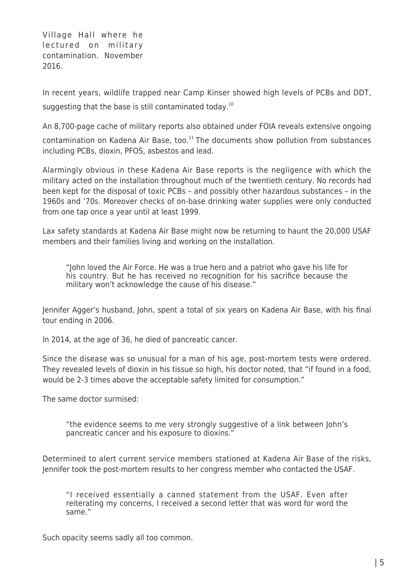Village Hall where he lectured on military contamination. November 2016.

In recent years, wildlife trapped near Camp Kinser showed high levels of PCBs and DDT, suggesting that the base is still contaminated today.<sup>10</sup>

An 8,700-page cache of military reports also obtained under FOIA reveals extensive ongoing

contamination on Kadena Air Base, too. $11$  The documents show pollution from substances including PCBs, dioxin, PFOS, asbestos and lead.

Alarmingly obvious in these Kadena Air Base reports is the negligence with which the military acted on the installation throughout much of the twentieth century. No records had been kept for the disposal of toxic PCBs – and possibly other hazardous substances – in the 1960s and '70s. Moreover checks of on-base drinking water supplies were only conducted from one tap once a year until at least 1999.

Lax safety standards at Kadena Air Base might now be returning to haunt the 20,000 USAF members and their families living and working on the installation.

"John loved the Air Force. He was a true hero and a patriot who gave his life for his country. But he has received no recognition for his sacrifice because the military won't acknowledge the cause of his disease."

Jennifer Agger's husband, John, spent a total of six years on Kadena Air Base, with his final tour ending in 2006.

In 2014, at the age of 36, he died of pancreatic cancer.

Since the disease was so unusual for a man of his age, post-mortem tests were ordered. They revealed levels of dioxin in his tissue so high, his doctor noted, that "if found in a food, would be 2-3 times above the acceptable safety limited for consumption."

The same doctor surmised:

"the evidence seems to me very strongly suggestive of a link between John's pancreatic cancer and his exposure to dioxins."

Determined to alert current service members stationed at Kadena Air Base of the risks, Jennifer took the post-mortem results to her congress member who contacted the USAF.

"I received essentially a canned statement from the USAF. Even after reiterating my concerns, I received a second letter that was word for word the same."

Such opacity seems sadly all too common.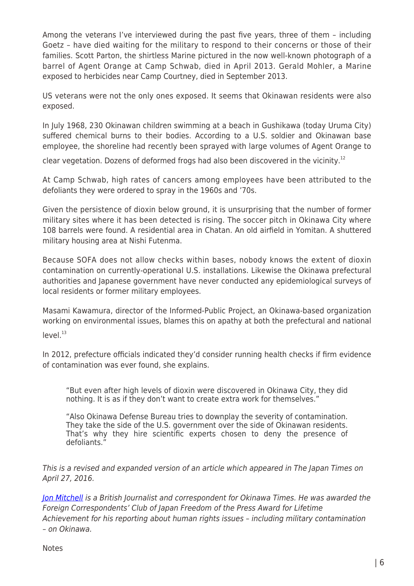Among the veterans I've interviewed during the past five years, three of them – including Goetz – have died waiting for the military to respond to their concerns or those of their families. Scott Parton, the shirtless Marine pictured in the now well-known photograph of a barrel of Agent Orange at Camp Schwab, died in April 2013. Gerald Mohler, a Marine exposed to herbicides near Camp Courtney, died in September 2013.

US veterans were not the only ones exposed. It seems that Okinawan residents were also exposed.

In July 1968, 230 Okinawan children swimming at a beach in Gushikawa (today Uruma City) suffered chemical burns to their bodies. According to a U.S. soldier and Okinawan base employee, the shoreline had recently been sprayed with large volumes of Agent Orange to

clear vegetation. Dozens of deformed frogs had also been discovered in the vicinity.<sup>12</sup>

At Camp Schwab, high rates of cancers among employees have been attributed to the defoliants they were ordered to spray in the 1960s and '70s.

Given the persistence of dioxin below ground, it is unsurprising that the number of former military sites where it has been detected is rising. The soccer pitch in Okinawa City where 108 barrels were found. A residential area in Chatan. An old airfield in Yomitan. A shuttered military housing area at Nishi Futenma.

Because SOFA does not allow checks within bases, nobody knows the extent of dioxin contamination on currently-operational U.S. installations. Likewise the Okinawa prefectural authorities and Japanese government have never conducted any epidemiological surveys of local residents or former military employees.

Masami Kawamura, director of the Informed-Public Project, an Okinawa-based organization working on environmental issues, blames this on apathy at both the prefectural and national  $level.<sup>13</sup>$ 

In 2012, prefecture officials indicated they'd consider running health checks if firm evidence of contamination was ever found, she explains.

"But even after high levels of dioxin were discovered in Okinawa City, they did nothing. It is as if they don't want to create extra work for themselves."

"Also Okinawa Defense Bureau tries to downplay the severity of contamination. They take the side of the U.S. government over the side of Okinawan residents. That's why they hire scientific experts chosen to deny the presence of defoliants."

This is a revised and expanded version of an article which appeared in The Japan Times on April 27, 2016.

[Jon Mitchell](http://www.jonmitchellinjapan.com/) is a British Journalist and correspondent for Okinawa Times. He was awarded the Foreign Correspondents' Club of Japan Freedom of the Press Award for Lifetime Achievement for his reporting about human rights issues – including military contamination – on Okinawa.

**Notes**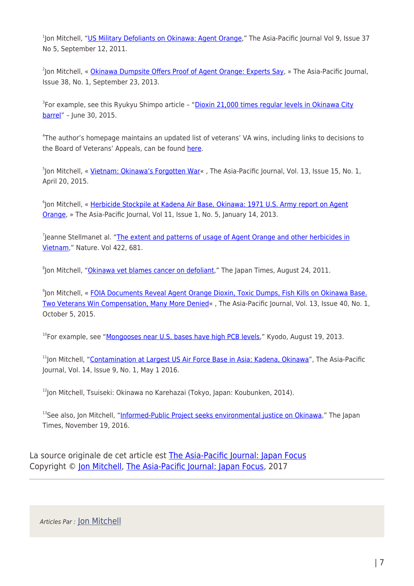<sup>1</sup>Jon Mitchell, "<mark>US Military Defoliants on Okinawa: Agent Orange</mark>," The Asia-Pacific Journal Vol 9, Issue 37 No 5, September 12, 2011.

<sup>2</sup>Jon Mitchell, « <u>Okinawa Dumpsite Offers Proof of Agent Orange: Experts Say</u>, » The Asia-Pacific Journal, Issue 38, No. 1, September 23, 2013.

<sup>3</sup>For example, see this Ryukyu Shimpo article – "<u>Dioxin 21,000 times regular levels in Okinawa City</u> [barrel"](http://ryukyushimpo.jp/news/storyid-245003-storytopic-1.html) – June 30, 2015.

4 The author's homepage maintains an updated list of veterans' VA wins, including links to decisions to the Board of Veterans' Appeals, can be found [here.](http://www.jonmitchellinjapan.com/agent-orange-on-okinawa.html)

<sup>5</sup>Jon Mitchell, « <u>Vietnam: Okinawa's Forgotten War</u>« , The Asia-Pacific Journal, Vol. 13, Issue 15, No. 1, April 20, 2015.

<sup>6</sup>Jon Mitchell, « <u>Herbicide Stockpile at Kadena Air Base, Okinawa: 1971 U.S. Army report on Agent</u> [Orange,](http://apjjf.org/2013/11/1/Jon-Mitchell/3883/article.html) » The Asia-Pacific Journal, Vol 11, Issue 1, No. 5, January 14, 2013.

<sup>7</sup>Jeanne Stellmanet al. "[The extent and patterns of usage of Agent Orange and other herbicides in](http://stellman.com/jms/Stellman1537.pdf) [Vietnam,](http://stellman.com/jms/Stellman1537.pdf)" Nature. Vol 422, 681.

<sup>8</sup>Jon Mitchell, "<u>Okinawa vet blames cancer on defoliant</u>," The Japan Times, August 24, 2011.

<sup>9</sup>Jon Mitchell, « [FOIA Documents Reveal Agent Orange Dioxin, Toxic Dumps, Fish Kills on Okinawa Base.](http://apjjf.org/-Jon-Mitchell/4384) [Two Veterans Win Compensation, Many More Denied«](http://apjjf.org/-Jon-Mitchell/4384) , The Asia-Pacific Journal, Vol. 13, Issue 40, No. 1, October 5, 2015.

<sup>10</sup>For example, see "[Mongooses near U.S. bases have high PCB levels,](http://www.japantimes.co.jp/news/2013/08/19/national/mongooses-near-u-s-bases-have-high-pcb-levels/#.UobNJSj8820)" Kyodo, August 19, 2013.

<sup>11</sup>Jon Mitchell, "[Contamination at Largest US Air Force Base in Asia: Kadena, Okinawa](http://apjjf.org/2016/09/Mitchell.html)", The Asia-Pacific Journal, Vol. 14, Issue 9, No. 1, May 1 2016.

 $12$ Jon Mitchell, Tsuiseki: Okinawa no Karehazai (Tokyo, Japan: Koubunken, 2014).

<sup>13</sup>See also, Jon Mitchell, ["Informed-Public Project seeks environmental justice on Okinawa,](https://www.japantimes.co.jp/news/2016/11/19/national/informed-public-project-seeks-environmental-justice-okinawa/)" The Japan Times, November 19, 2016.

La source originale de cet article est [The Asia-Pacific Journal: Japan Focus](http://apjjf.org/2017/21/Mitchell.html) Copyright © [Jon Mitchell,](https://www.mondialisation.ca/author/jon-mitchell) [The Asia-Pacific Journal: Japan Focus](http://apjjf.org/2017/21/Mitchell.html), 2017

Articles Par : [Jon Mitchell](https://www.mondialisation.ca/author/jon-mitchell)